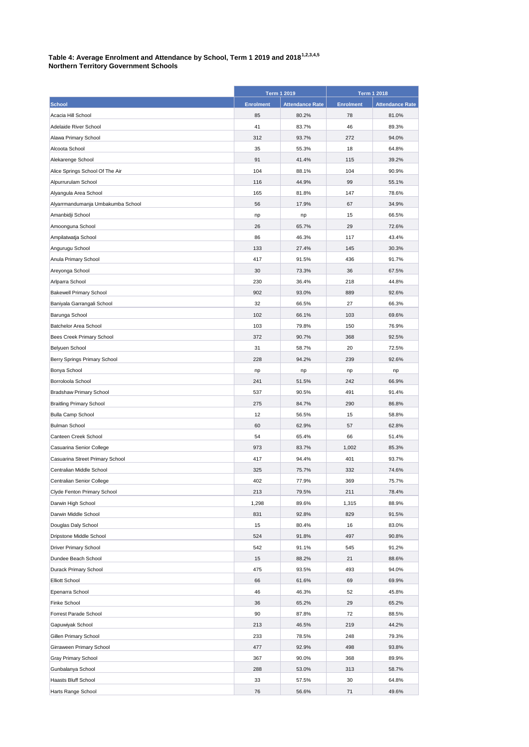## **Table 4: Average Enrolment and Attendance by School, Term 1 2019 and 20181,2,3,4,5 Northern Territory Government Schools**

|                                   |                  | <b>Term 1 2019</b>     |                  | <b>Term 1 2018</b> |  |
|-----------------------------------|------------------|------------------------|------------------|--------------------|--|
| <b>School</b>                     | <b>Enrolment</b> | <b>Attendance Rate</b> | <b>Enrolment</b> | Attendance Rate    |  |
| Acacia Hill School                | 85               | 80.2%                  | 78               | 81.0%              |  |
| Adelaide River School             | 41               | 83.7%                  | 46               | 89.3%              |  |
| Alawa Primary School              | 312              | 93.7%                  | 272              | 94.0%              |  |
| Alcoota School                    | 35               | 55.3%                  | 18               | 64.8%              |  |
| Alekarenge School                 | 91               | 41.4%                  | 115              | 39.2%              |  |
| Alice Springs School Of The Air   | 104              | 88.1%                  | 104              | 90.9%              |  |
| Alpurrurulam School               | 116              | 44.9%                  | 99               | 55.1%              |  |
| Alyangula Area School             | 165              | 81.8%                  | 147              | 78.6%              |  |
| Alyarrmandumanja Umbakumba School | 56               | 17.9%                  | 67               | 34.9%              |  |
| Amanbidji School                  | np               | np                     | 15               | 66.5%              |  |
| Amoonguna School                  | 26               | 65.7%                  | 29               | 72.6%              |  |
| Ampilatwatja School               | 86               | 46.3%                  | 117              | 43.4%              |  |
| Angurugu School                   | 133              | 27.4%                  | 145              | 30.3%              |  |
| Anula Primary School              | 417              | 91.5%                  | 436              | 91.7%              |  |
| Areyonga School                   | 30               | 73.3%                  | 36               | 67.5%              |  |
| Arlparra School                   | 230              | 36.4%                  | 218              | 44.8%              |  |
| <b>Bakewell Primary School</b>    | 902              | 93.0%                  | 889              | 92.6%              |  |
| Baniyala Garrangali School        | 32               | 66.5%                  | 27               | 66.3%              |  |
| Barunga School                    | 102              | 66.1%                  | 103              | 69.6%              |  |
| <b>Batchelor Area School</b>      | 103              | 79.8%                  | 150              | 76.9%              |  |
| Bees Creek Primary School         | 372              | 90.7%                  | 368              | 92.5%              |  |
| Belyuen School                    | 31               | 58.7%                  | 20               | 72.5%              |  |
| Berry Springs Primary School      | 228              | 94.2%                  | 239              | 92.6%              |  |
| Bonya School                      | np               | np                     | np               | np                 |  |
| Borroloola School                 | 241              | 51.5%                  | 242              | 66.9%              |  |
| <b>Bradshaw Primary School</b>    | 537              | 90.5%                  | 491              | 91.4%              |  |
| <b>Braitling Primary School</b>   | 275              | 84.7%                  | 290              | 86.8%              |  |
| <b>Bulla Camp School</b>          | 12               | 56.5%                  | 15               | 58.8%              |  |
| <b>Bulman School</b>              | 60               | 62.9%                  | 57               | 62.8%              |  |
| Canteen Creek School              | 54               | 65.4%                  | 66               | 51.4%              |  |
| Casuarina Senior College          | 973              | 83.7%                  | 1,002            | 85.3%              |  |
| Casuarina Street Primary School   | 417              | 94.4%                  | 401              | 93.7%              |  |
| Centralian Middle School          | 325              | 75.7%                  | 332              | 74.6%              |  |
| Centralian Senior College         | 402              | 77.9%                  | 369              | 75.7%              |  |
| Clyde Fenton Primary School       | 213              | 79.5%                  | 211              | 78.4%              |  |
| Darwin High School                | 1,298            | 89.6%                  | 1,315            | 88.9%              |  |
| Darwin Middle School              | 831              | 92.8%                  | 829              | 91.5%              |  |
| Douglas Daly School               | 15               | 80.4%                  | 16               | 83.0%              |  |
| Dripstone Middle School           | 524              | 91.8%                  | 497              | 90.8%              |  |
| Driver Primary School             | 542              | 91.1%                  | 545              | 91.2%              |  |
| Dundee Beach School               | 15               | 88.2%                  | 21               | 88.6%              |  |
| Durack Primary School             | 475              | 93.5%                  | 493              | 94.0%              |  |
| <b>Elliott School</b>             | 66               | 61.6%                  | 69               | 69.9%              |  |
| Epenarra School                   | 46               | 46.3%                  | 52               | 45.8%              |  |
| Finke School                      | 36               | 65.2%                  | 29               | 65.2%              |  |
| Forrest Parade School             | 90               | 87.8%                  | 72               | 88.5%              |  |
| Gapuwiyak School                  | 213              | 46.5%                  | 219              | 44.2%              |  |
| Gillen Primary School             | 233              | 78.5%                  | 248              | 79.3%              |  |
| Girraween Primary School          | 477              | 92.9%                  | 498              | 93.8%              |  |
| Gray Primary School               | 367              | 90.0%                  | 368              | 89.9%              |  |
| Gunbalanya School                 | 288              | 53.0%                  | 313              | 58.7%              |  |
| Haasts Bluff School               | 33               | 57.5%                  | 30               | 64.8%              |  |
| Harts Range School                | 76               | 56.6%                  | 71               | 49.6%              |  |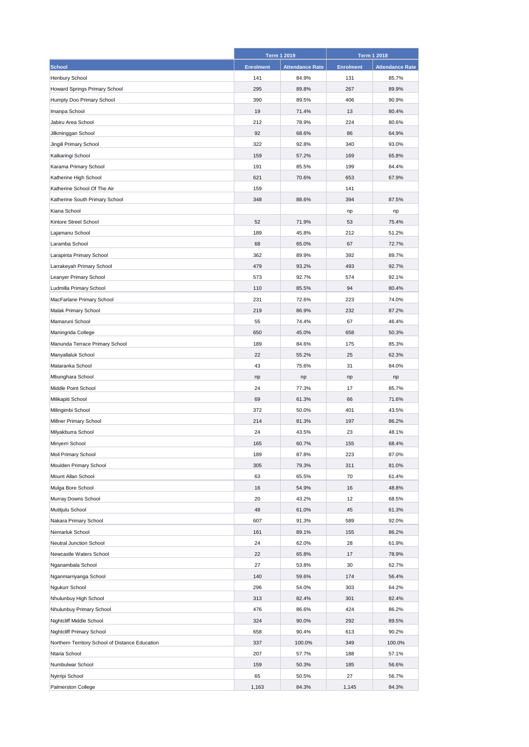|                                                 |                  | <b>Term 1 2019</b>     |                  | <b>Term 1 2018</b>     |
|-------------------------------------------------|------------------|------------------------|------------------|------------------------|
| <b>School</b>                                   | <b>Enrolment</b> | <b>Attendance Rate</b> | <b>Enrolment</b> | <b>Attendance Rate</b> |
| Henbury School                                  | 141              | 84.9%                  | 131              | 85.7%                  |
| Howard Springs Primary School                   | 295              | 89.8%                  | 267              | 89.9%                  |
| Humpty Doo Primary School                       | 390              | 89.5%                  | 406              | 90.9%                  |
| Imanpa School                                   | 19               | 71.4%                  | 13               | 80.4%                  |
| Jabiru Area School                              | 212              | 78.9%                  | 224              | 80.6%                  |
| Jilkminggan School                              | 92               | 68.6%                  | 86               | 64.9%                  |
| Jingili Primary School                          | 322              | 92.8%                  | 340              | 93.0%                  |
| Kalkaringi School                               | 159              | 57.2%                  | 169              | 65.8%                  |
| Karama Primary School                           | 191              | 85.5%                  | 199              | 84.4%                  |
| Katherine High School                           | 621              | 70.6%                  | 653              | 67.9%                  |
| Katherine School Of The Air                     | 159              |                        | 141              |                        |
| Katherine South Primary School                  | 348              | 88.6%                  | 394              | 87.5%                  |
| Kiana School                                    |                  |                        | np               | np                     |
| Kintore Street School                           | 52               | 71.9%                  | 53               | 75.4%                  |
| Lajamanu School                                 | 189              | 45.8%                  | 212              | 51.2%                  |
| Laramba School                                  | 68               | 65.0%                  | 67               | 72.7%                  |
| Larapinta Primary School                        | 362              | 89.9%                  | 392              | 89.7%                  |
| Larrakeyah Primary School                       | 479              | 93.2%                  | 493              | 92.7%                  |
| Leanyer Primary School                          | 573              | 92.7%                  | 574              | 92.1%                  |
| Ludmilla Primary School                         | 110              | 85.5%                  | 94               | 80.4%                  |
| MacFarlane Primary School                       | 231              | 72.6%                  | 223              | 74.0%                  |
| Malak Primary School                            | 219              | 86.9%                  | 232              | 87.2%                  |
| Mamaruni School                                 | 55               | 74.4%                  | 67               | 46.4%                  |
| Maningrida College                              | 650              | 45.0%                  | 658              | 50.3%                  |
| Manunda Terrace Primary School                  | 189              | 84.6%                  | 175              | 85.3%                  |
| Manyallaluk School                              | 22               | 55.2%                  | 25               | 62.3%                  |
| Mataranka School                                | 43               | 75.6%                  | 31               | 84.0%                  |
| Mbunghara School                                | np               | np                     | np               | np                     |
| Middle Point School                             | 24               | 77.3%                  | 17               | 85.7%                  |
| Milikapiti School                               | 69               | 61.3%                  | 66               | 71.6%                  |
| Milingimbi School                               | 372              | 50.0%                  | 401              | 43.5%                  |
| Millner Primary School                          | 214              | 81.3%                  | 197              | 86.2%                  |
| Milyakburra School                              | 24               | 43.5%                  | 23               | 48.1%                  |
| Minyerri School                                 | 165              | 60.7%                  | 155              | 68.4%                  |
| Moil Primary School                             | 189              | 87.8%                  | 223              | 87.0%                  |
| Moulden Primary School                          | 305              | 79.3%                  | 311              | 81.0%                  |
| Mount Allan School                              | 63               | 65.5%                  | 70               | 61.4%                  |
| Mulga Bore School                               | 16               | 54.9%                  | 16               | 48.8%                  |
| Murray Downs School                             | 20               | 43.2%                  | 12               | 68.5%                  |
| Mutitjulu School                                | 48               | 61.0%                  | 45               | 61.3%                  |
| Nakara Primary School                           | 607              | 91.3%                  | 589              | 92.0%                  |
| Nemarluk School                                 | 161              | 89.1%                  | 155              | 86.2%                  |
| Neutral Junction School                         | 24               | 62.0%                  | 28               | 61.9%                  |
| Newcastle Waters School                         | 22               | 65.8%                  | 17               | 78.9%                  |
| Nganambala School                               | 27               | 53.8%                  | 30               | 62.7%                  |
| Nganmarriyanga School                           | 140              | 59.6%                  | 174              | 56.4%                  |
| Ngukurr School                                  | 296              | 54.0%                  | 303              | 64.2%                  |
| Nhulunbuy High School                           | 313              | 82.4%                  | 301              | 82.4%                  |
| Nhulunbuy Primary School                        | 476              | 86.6%                  | 424              | 86.2%                  |
| Nightcliff Middle School                        | 324              | 90.0%                  | 292              | 89.5%                  |
| <b>Nightcliff Primary School</b>                | 658              | 90.4%                  | 613              | 90.2%                  |
| Northern Territory School of Distance Education | 337              | 100.0%                 | 349              | 100.0%                 |
| Ntaria School                                   | 207              | 57.7%                  | 188              | 57.1%                  |
| Numbulwar School                                | 159              | 50.3%                  | 185              | 56.6%                  |
| Nyirripi School                                 | 65               | 50.5%                  | 27               | 56.7%                  |
| Palmerston College                              | 1,163            | 84.3%                  | 1,145            | 84.3%                  |